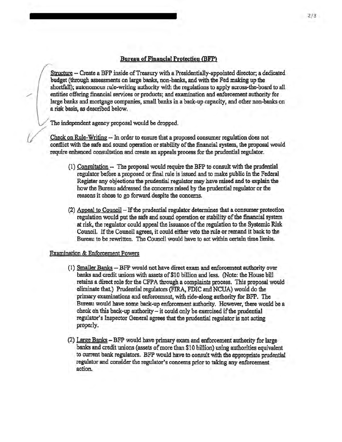## Bureau of Financial Protection (BFP)

Structure - Create a BFP inside of Treasury with a Presidentially-appointed director; a dedicated budget (through assessments on large banks, non-banks, and with the Fed making up the shortfall); autonomous rule-writing authority with the regulations to apply across-the-board to all entities offering financial services or products; and examination and enforcement authority for large banks and mortgage companies, small banks in a back-up capacity, and other non-banks on a risk basis, as described below.

The independent agency proposal would be dropped.

Check on Rule-Writing -- In order to ensure that a proposed consumer regulation does not conflict with the safe and sound operation or stability of the financial system, the proposal would require enhanced consultation and create an appeals process for the prudential regulator.

- (1) Consultation.-- The proposal would require the BFP to consult with the prudential regulator before a proposed or final rule is issued and to make public in the Federal Register any objections the prudential regulator may have raised and to explain the how the Bureau addressed the concerns raised by the prudential regulator or the reasons it chose to go forward despite the concerns.
- (2) Appeal to Council If the prudential regulator determines that a consumer protection regulation would put the safe and sound operation or stability of the financial system at risk, the regulator could appeal the issuance of the regulation to the Systemic Risk Council. If the Council agrees, it could either veto the rule or remand it back to the Bureau to be rewritten. The Council would have to act within certain time limits.

## Examination & Enforcement Powers

- (1) Smaller Banks -- BFP would not have direct exam and enforcement authority over banks and credit unions with assets of \$10 billion and less. (Note: the House bill retains a direct role for the CFPA through a complaints process. This proposal would eliminate that.) Prudential regulators (FIRA, FDIC and NCUA) would do the primary examinations and enforcement, with ride-along authority for BFP. The Bureau would have some back-up enforcement authority. However, there would be a  $check$  on this back-up authority  $-$  it could only be exercised if the prudential regulator's Inspector General agrees that the prudential regulator is not acting properly.
- (2) Large Banks- BFP would have primary exam and enforcement authority for large banks and credit unions (assets of more than \$10 billion) using authorities equivalent to current bank regulators. BFP would have to consult with the appropriate prudential regulator and consider the regulator's concerns prior to taking any enforcement action.